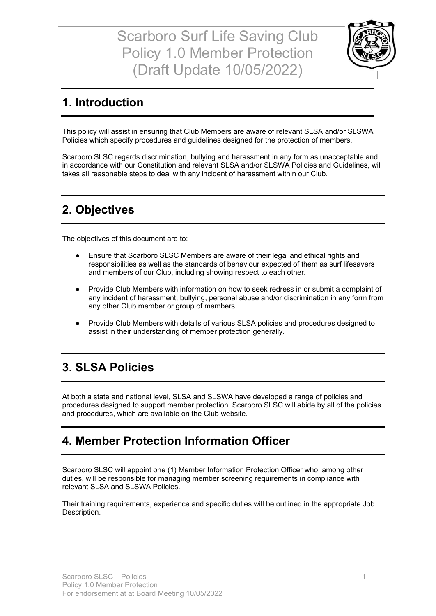Scarboro Surf Life Saving Club Policy 1.0 Member Protection (Draft Update 10/05/2022)



#### **1. Introduction**

This policy will assist in ensuring that Club Members are aware of relevant SLSA and/or SLSWA Policies which specify procedures and guidelines designed for the protection of members.

Scarboro SLSC regards discrimination, bullying and harassment in any form as unacceptable and in accordance with our Constitution and relevant SLSA and/or SLSWA Policies and Guidelines, will takes all reasonable steps to deal with any incident of harassment within our Club.

#### **2. Objectives**

The objectives of this document are to:

- Ensure that Scarboro SLSC Members are aware of their legal and ethical rights and responsibilities as well as the standards of behaviour expected of them as surf lifesavers and members of our Club, including showing respect to each other.
- Provide Club Members with information on how to seek redress in or submit a complaint of any incident of harassment, bullying, personal abuse and/or discrimination in any form from any other Club member or group of members.
- Provide Club Members with details of various SLSA policies and procedures designed to assist in their understanding of member protection generally.

#### **3. SLSA Policies**

At both a state and national level, SLSA and SLSWA have developed a range of policies and procedures designed to support member protection. Scarboro SLSC will abide by all of the policies and procedures, which are available on the Club website.

#### **4. Member Protection Information Officer**

Scarboro SLSC will appoint one (1) Member Information Protection Officer who, among other duties, will be responsible for managing member screening requirements in compliance with relevant SLSA and SLSWA Policies.

Their training requirements, experience and specific duties will be outlined in the appropriate Job Description.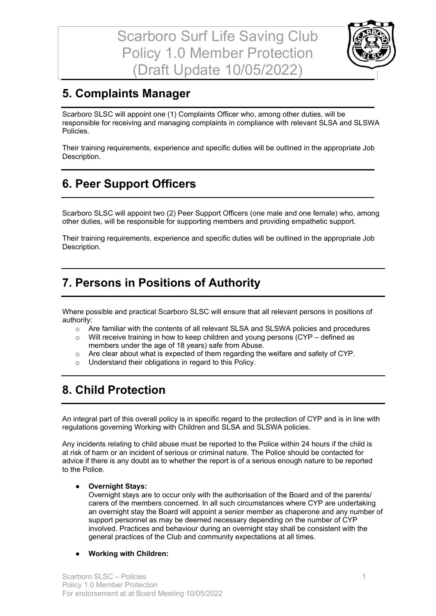

## **5. Complaints Manager**

Scarboro SLSC will appoint one (1) Complaints Officer who, among other duties, will be responsible for receiving and managing complaints in compliance with relevant SLSA and SLSWA Policies.

Their training requirements, experience and specific duties will be outlined in the appropriate Job Description.

### **6. Peer Support Officers**

Scarboro SLSC will appoint two (2) Peer Support Officers (one male and one female) who, among other duties, will be responsible for supporting members and providing empathetic support.

Their training requirements, experience and specific duties will be outlined in the appropriate Job Description.

#### **7. Persons in Positions of Authority**

Where possible and practical Scarboro SLSC will ensure that all relevant persons in positions of authority:

- o Are familiar with the contents of all relevant SLSA and SLSWA policies and procedures
- o Will receive training in how to keep children and young persons (CYP defined as members under the age of 18 years) safe from Abuse.
- $\circ$  Are clear about what is expected of them regarding the welfare and safety of CYP.
- o Understand their obligations in regard to this Policy.

#### **8. Child Protection**

An integral part of this overall policy is in specific regard to the protection of CYP and is in line with regulations governing Working with Children and SLSA and SLSWA policies.

Any incidents relating to child abuse must be reported to the Police within 24 hours if the child is at risk of harm or an incident of serious or criminal nature. The Police should be contacted for advice if there is any doubt as to whether the report is of a serious enough nature to be reported to the Police.

#### ● **Overnight Stays:**

Overnight stays are to occur only with the authorisation of the Board and of the parents/ carers of the members concerned. In all such circumstances where CYP are undertaking an overnight stay the Board will appoint a senior member as chaperone and any number of support personnel as may be deemed necessary depending on the number of CYP involved. Practices and behaviour during an overnight stay shall be consistent with the general practices of the Club and community expectations at all times.

#### ● **Working with Children:**